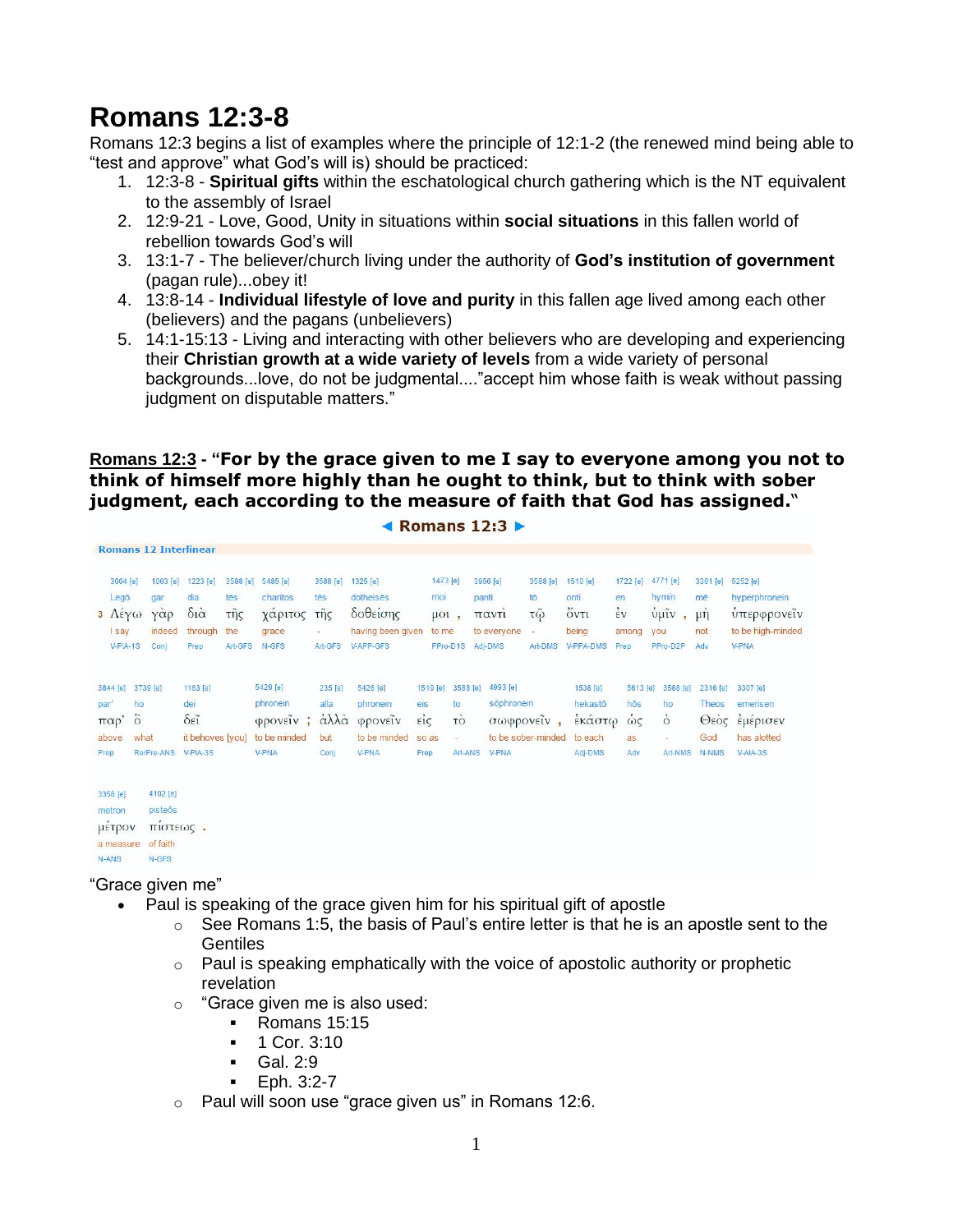# **Romans 12:3-8**

Romans 12:3 begins a list of examples where the principle of 12:1-2 (the renewed mind being able to "test and approve" what God's will is) should be practiced:

- 1. 12:3-8 **Spiritual gifts** within the eschatological church gathering which is the NT equivalent to the assembly of Israel
- 2. 12:9-21 Love, Good, Unity in situations within **social situations** in this fallen world of rebellion towards God's will
- 3. 13:1-7 The believer/church living under the authority of **God's institution of government** (pagan rule)...obey it!
- 4. 13:8-14 **Individual lifestyle of love and purity** in this fallen age lived among each other (believers) and the pagans (unbelievers)
- 5. 14:1-15:13 Living and interacting with other believers who are developing and experiencing their **Christian growth at a wide variety of levels** from a wide variety of personal backgrounds...love, do not be judgmental...."accept him whose faith is weak without passing judgment on disputable matters."

#### **Romans 12:3 - "For by the grace given to me I say to everyone among you not to think of himself more highly than he ought to think, but to think with sober judgment, each according to the measure of faith that God has assigned.**"

| Komans $12:3$ ► |  |
|-----------------|--|
|-----------------|--|

|       | 3004 [e]          | 1063 [e]            | 1223 [e]                             | 3588 [e] | 5485 [e]                                     | 3588 [e] | 1325 [e]          |                  | 1473 [e]  | 3956 [e]    | 3588 [e]             | 1510 [e]  | 1722 [e]       | 4771 [e]          | 3361 [e] | 5252 [e]          |
|-------|-------------------|---------------------|--------------------------------------|----------|----------------------------------------------|----------|-------------------|------------------|-----------|-------------|----------------------|-----------|----------------|-------------------|----------|-------------------|
|       | Legō              | gar                 | dia                                  | tēs      | charitos                                     | tēs      | dotheises         |                  | mor       | panti       | tō                   | onti      | en             | hymin             | mē       | hyperphronein     |
|       | $3 \text{ Aéy}$   | $Y\alpha p$         | $\delta i\dot{\alpha}$               | τῆς      | χάριτος                                      | τῆς      | δοθείσης          |                  | $\mu$ ol, | παντι       | $\tau\tilde{\omega}$ | όντι      | $\frac{1}{2}v$ | $ν$ <sub>μι</sub> | $\mu$ n  | υπερφρονείν       |
|       | <b>I</b> say      | indeed              | through                              | the      | grace                                        |          | having been given |                  | to me     | to everyone | ×                    | being     | among          | you               | not      | to be high-minded |
|       | V-PIA-1S          | Conj                | Prep                                 | Art-GFS  | N-GFS                                        | Art-GFS  | V-APP-GFS         |                  | PPro-D1S  | Adj-DMS     | Art-DMS              | V-PPA-DMS | Prep           | PPro-D2P          | Adv      | <b>V-PNA</b>      |
|       | 3844 [e] 3739 [e] |                     | 1163 [e]                             |          | 5426 [e]                                     | 235 [e]  | 5426 [e]          | 1519 [e]         | 3588 [e]  | 4993 [e]    |                      | 1538 [e]  | 5613 [e]       | 3588 [e]          | 2316 [e] | 3307 [e]          |
| par'  | ho                |                     | dei                                  |          | phronein                                     | alla     | phronein          | eis              | to        | sõphronein  |                      | hekastō   | hos            | ho                | Theos    | emerisen          |
|       | παρ' δ            |                     | $\delta \epsilon \tilde{\textbf{i}}$ |          | $\varphi$ <i>pove</i> $\tilde{i}$ <i>v</i> ; | άλλα     | φρονείν           | $\vec{\epsilon}$ | τò        |             | σωφρονείν,           | έκάστω ώς |                | $\circ$           |          | Θεός εμέρισεν     |
| above |                   | what                | it behoves [you]                     |          | to be minded                                 | but      | to be minded      | so as            | $\equiv$  |             | to be sober-minded   | to each   | as             | ٠                 | God      | has alotted       |
| Prep  |                   | RelPro-ANS V-PIA-3S |                                      |          | V-PNA                                        | Conj     | V-PNA             | Prep             | Art-ANS   | V-PNA       |                      | Adj-DMS   | Adv            | Art-NMS           | N-NMS    | V-AIA-3S          |
|       | 3358 [e]          | 4102 [e]            |                                      |          |                                              |          |                   |                  |           |             |                      |           |                |                   |          |                   |
|       | metron            | pisteōs             |                                      |          |                                              |          |                   |                  |           |             |                      |           |                |                   |          |                   |

μέτρον πίστεως. a measure of faith N-ANS N-GFS

"Grace given me"

- Paul is speaking of the grace given him for his spiritual gift of apostle
	- $\circ$  See Romans 1:5, the basis of Paul's entire letter is that he is an apostle sent to the **Gentiles**
	- $\circ$  Paul is speaking emphatically with the voice of apostolic authority or prophetic revelation
	- o "Grace given me is also used:
		- **Romans 15:15**
		- 1 Cor. 3:10
		- Gal. 2:9
		- $\blacksquare$  Eph. 3:2-7
	- o Paul will soon use "grace given us" in Romans 12:6.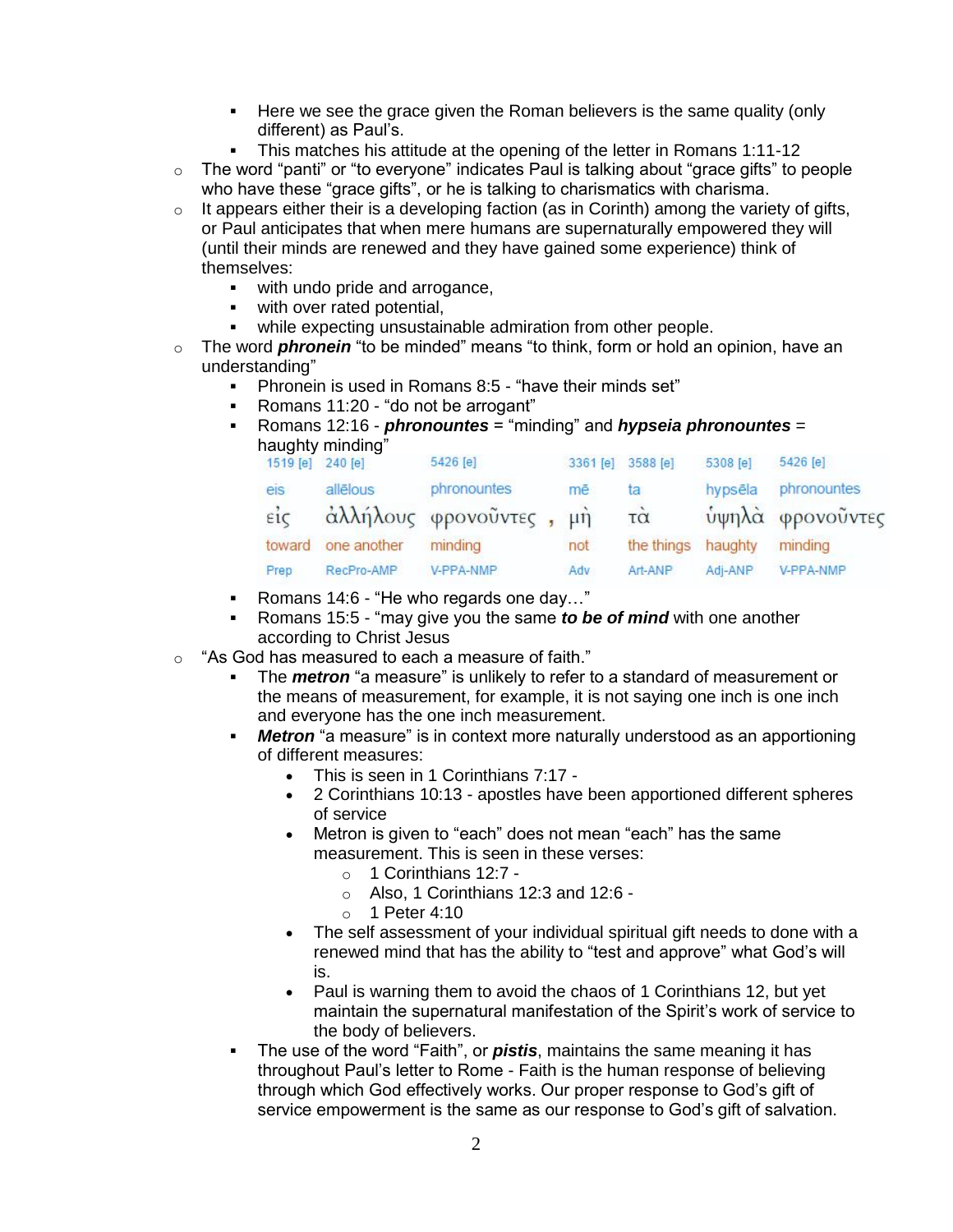- Here we see the grace given the Roman believers is the same quality (only different) as Paul's.
- This matches his attitude at the opening of the letter in Romans 1:11-12
- $\circ$  The word "panti" or "to everyone" indicates Paul is talking about "grace gifts" to people who have these "grace gifts", or he is talking to charismatics with charisma.
- $\circ$  It appears either their is a developing faction (as in Corinth) among the variety of gifts, or Paul anticipates that when mere humans are supernaturally empowered they will (until their minds are renewed and they have gained some experience) think of themselves:
	- with undo pride and arrogance,
	- **with over rated potential,**
	- while expecting unsustainable admiration from other people.
- o The word *phronein* "to be minded" means "to think, form or hold an opinion, have an understanding"
	- Phronein is used in Romans 8:5 "have their minds set"
	- Romans 11:20 "do not be arrogant"
	- Romans 12:16 *phronountes* = "minding" and *hypseia phronountes* = haughty minding"

| 1519 [e]         | 240 [e]            | 5426 [e]                | 3361 [e] | 3588 [e]                | 5308 [e] | 5426 [e]         |
|------------------|--------------------|-------------------------|----------|-------------------------|----------|------------------|
| eis              | allēlous           | phronountes             | mē       | ta                      | hypsēla  | phronountes      |
| $\vec{\epsilon}$ |                    | άλλήλους φρονοῦντες, μή |          | $\overline{\tau\alpha}$ |          | ύψηλά φρονοὖντες |
|                  | toward one another | minding                 | not      | the things              | haughty  | minding          |
| Prep             | RecPro-AMP         | V-PPA-NMP               | Adv      | Art-ANP                 | Adi-ANP  | V-PPA-NMP        |
|                  |                    |                         |          |                         |          |                  |

- Romans 14:6 "He who regards one day..."
- Romans 15:5 "may give you the same *to be of mind* with one another according to Christ Jesus
- o "As God has measured to each a measure of faith."
	- The *metron* "a measure" is unlikely to refer to a standard of measurement or the means of measurement, for example, it is not saying one inch is one inch and everyone has the one inch measurement.
	- *Metron* "a measure" is in context more naturally understood as an apportioning of different measures:
		- This is seen in 1 Corinthians 7:17 -
		- 2 Corinthians 10:13 apostles have been apportioned different spheres of service
		- Metron is given to "each" does not mean "each" has the same measurement. This is seen in these verses:
			- o 1 Corinthians 12:7 -
			- o Also, 1 Corinthians 12:3 and 12:6 -
			- $\circ$  1 Peter 4:10
		- The self assessment of your individual spiritual gift needs to done with a renewed mind that has the ability to "test and approve" what God's will is.
		- Paul is warning them to avoid the chaos of 1 Corinthians 12, but yet maintain the supernatural manifestation of the Spirit's work of service to the body of believers.
	- The use of the word "Faith", or *pistis*, maintains the same meaning it has throughout Paul's letter to Rome - Faith is the human response of believing through which God effectively works. Our proper response to God's gift of service empowerment is the same as our response to God's gift of salvation.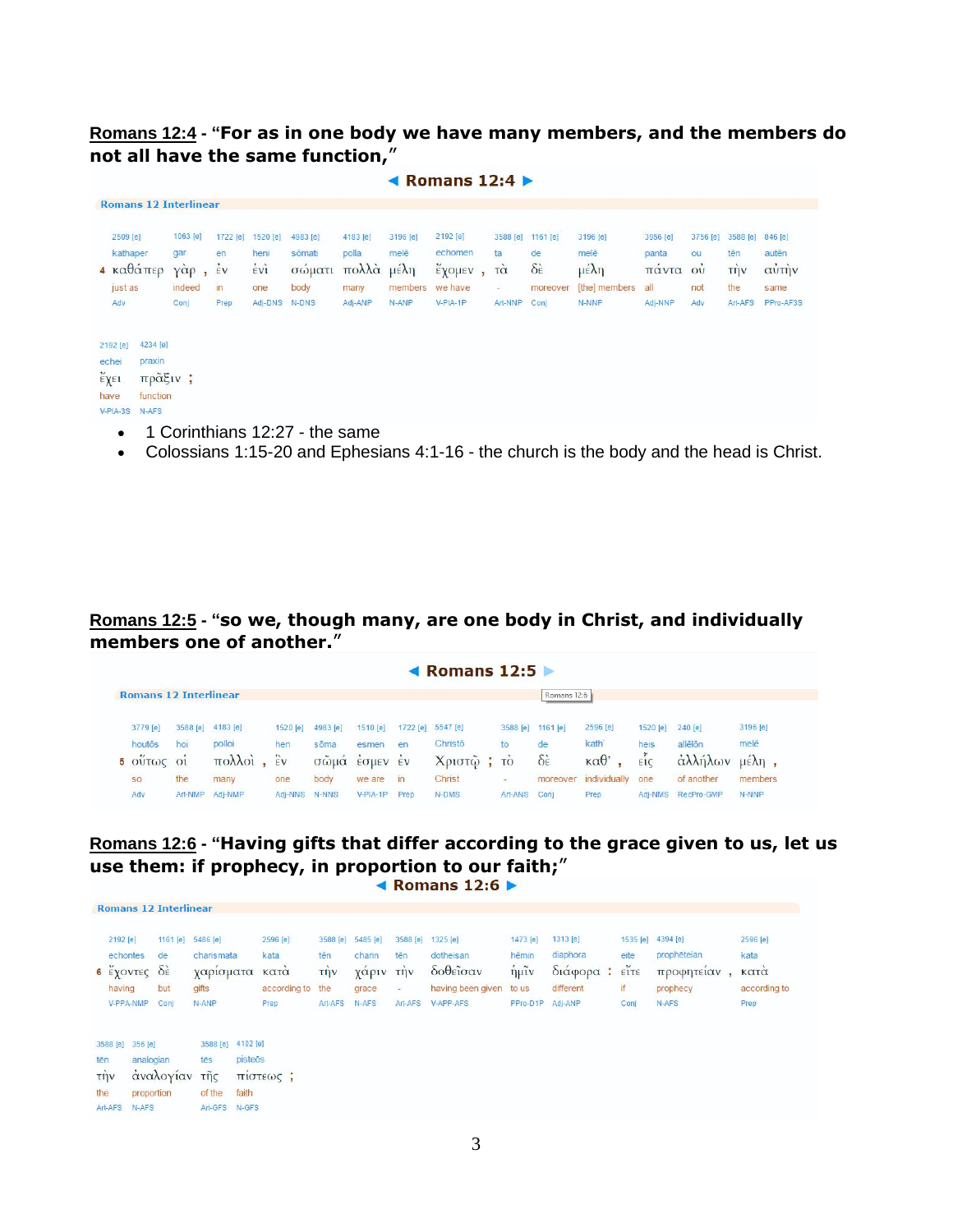#### **Romans 12:4 - "For as in one body we have many members, and the members do not all have the same function,**"

|                                                                                                     |                                                                                |                                                           |                                                     |                                               |                                               |                                                                | Romans $12:4$ $\blacktriangleright$                             |                |                                                  |                                                               |                                                                      |                                              |                                                       |                                                                    |                                                |  |
|-----------------------------------------------------------------------------------------------------|--------------------------------------------------------------------------------|-----------------------------------------------------------|-----------------------------------------------------|-----------------------------------------------|-----------------------------------------------|----------------------------------------------------------------|-----------------------------------------------------------------|----------------|--------------------------------------------------|---------------------------------------------------------------|----------------------------------------------------------------------|----------------------------------------------|-------------------------------------------------------|--------------------------------------------------------------------|------------------------------------------------|--|
| <b>Romans 12 Interlinear</b>                                                                        |                                                                                |                                                           |                                                     |                                               |                                               |                                                                |                                                                 |                |                                                  |                                                               |                                                                      |                                              |                                                       |                                                                    |                                                |  |
| 2509 [e]<br>kathaper<br>4 καθάπερ<br>just as<br>Adv                                                 | 1063 [e]<br>gar<br>$\gamma \alpha p$<br>$\overline{\bullet}$<br>indeed<br>Conj | 1722 [e]<br>en<br>$\frac{1}{2}v$<br>$\mathsf{In}$<br>Prep | 1520 [e]<br>heni<br>$\frac{1}{2}$<br>one<br>Adj-DNS | 4983 [e]<br>sōmati<br>σώματι<br>body<br>N-DNS | 4183 [e]<br>polla<br>πολλά<br>many<br>Adj-ANP | 3196 [e]<br>melē<br>$\mu \in \lambda \eta$<br>members<br>N-ANP | 2192 <sub>[e]</sub><br>echomen<br>έχομεν<br>we have<br>V-PIA-1P | $\blacksquare$ | 3588 [e]<br>ta<br>$T\alpha$<br>$\sim$<br>Art-NNP | 1161 [e]<br>de<br>$\delta \dot{\epsilon}$<br>moreover<br>Conj | 3196 [e]<br>melē<br>$\mu \in \lambda \eta$<br>[the] members<br>N-NNP | 3956 [e]<br>panta<br>πάντα<br>all<br>Adj-NNP | 3756 [e]<br>ou<br>$\overrightarrow{ov}$<br>not<br>Adv | 3588 [e]<br>tēn<br>$\overrightarrow{npv}$<br>the<br><b>Art-AFS</b> | 846 [e]<br>autēn<br>αὐτὴν<br>same<br>PPro-AF3S |  |
| 4234 [e]<br>2192 [e]<br>praxin<br>echei<br>έχει<br>πρᾶξιν;<br>function<br>have<br>V-PIA-3S<br>N-AFS |                                                                                |                                                           |                                                     |                                               |                                               |                                                                |                                                                 |                |                                                  |                                                               |                                                                      |                                              |                                                       |                                                                    |                                                |  |
| $\bullet$                                                                                           |                                                                                |                                                           |                                                     | 1 Corinthians 12:27 - the same                |                                               |                                                                |                                                                 |                |                                                  |                                                               |                                                                      |                                              |                                                       |                                                                    |                                                |  |

Colossians 1:15-20 and Ephesians 4:1-16 - the church is the body and the head is Christ.

#### **Romans 12:5 - "so we, though many, are one body in Christ, and individually members one of another.**"

|                              |                |                   |                   |                           |            |              | ◀ Romans $12:5 \triangleright$ |           |                         |                        |          |            |                          |
|------------------------------|----------------|-------------------|-------------------|---------------------------|------------|--------------|--------------------------------|-----------|-------------------------|------------------------|----------|------------|--------------------------|
| <b>Romans 12 Interlinear</b> |                |                   |                   |                           |            |              |                                |           | Romans 12:6             |                        |          |            |                          |
| 3779 [e]                     |                | 3588 [e] 4183 [e] | 1520 [e]          | 4983 [e]                  | 1510 [e]   |              | 1722 [e] 5547 [e]              | 3588 [e]  | $1161$ [e]              | 2596 [e]               | 1520 [e] | 240 [e]    | 3196 [e]                 |
| houtōs                       | hoi            | polloi            | hen               | sõma                      | esmen      | en           | Christō                        | to        | de                      | kath'                  | heis     | allēlōn    | melē                     |
| $\cdot$<br>$5$ OUTOC         | O <sub>1</sub> | πολλοί            | $\ddot{\epsilon}$ | $\sigma\tilde{\omega}$ μά | EQUEV      | $\epsilon v$ | Χριστώ                         | <b>TO</b> | $\delta \hat{\epsilon}$ | $\kappa \alpha \theta$ | EIC      | αλλήλων    | $\mu \in \lambda \eta$ , |
| <b>SO</b>                    | the            | many              | one               | body                      | we are     | in           | Christ                         | ×.        | moreover                | individually           | one      | of another | members                  |
| Adv                          | Art-NMP        | Adj-NMP           | Adi-NNS           | N-NNS                     | $V-PIA-1P$ | Prep         | N-DMS                          | Art-ANS   | Coni                    | Prep                   | Adj-NMS  | RecPro-GMP | N-NNP                    |

## **Romans 12:6 - "Having gifts that differ according to the grace given to us, let us use them: if prophecy, in proportion to our faith;**"

|     |                                             | <b>Romans 12 Interlinear</b>      |                  |                                                       |         |                                                  |                                    |                                                        |                                        |                                                                     |                                                           |                                                          |  |                                       |                                                                     |                                                  |
|-----|---------------------------------------------|-----------------------------------|------------------|-------------------------------------------------------|---------|--------------------------------------------------|------------------------------------|--------------------------------------------------------|----------------------------------------|---------------------------------------------------------------------|-----------------------------------------------------------|----------------------------------------------------------|--|---------------------------------------|---------------------------------------------------------------------|--------------------------------------------------|
|     | 2192 [e]<br>echontes<br>having<br>V-PPA-NMP | de<br>6 έχοντες δε<br>but<br>Conj | 1161 [e]         | 5486 [e]<br>charismata<br>χαρίσματα<br>gifts<br>N-ANP |         | 2596 [e]<br>kata<br>κατα<br>according to<br>Prep | tēn<br>$T\eta v$<br>the<br>Art-AFS | 3588 [e] 5485 [e]<br>charin<br>χαριν<br>grace<br>N-AFS | 3588 [e]<br>tēn<br>την<br>÷<br>Art-AFS | 1325 [e]<br>dotheisan<br>δοθεΐσαν<br>having been given<br>V-APP-AFS | 1473 [e]<br>hēmin<br>$\eta$ $\mu$ ĩν<br>to us<br>PPro-D1P | 1313 [e]<br>diaphora<br>διάφορα:<br>different<br>Adj-ANP |  | eite<br>$\tilde{\text{error}}$<br>if: | 1535 [e] 4394 [e]<br>prophēteian<br>προφητειαν<br>prophecy<br>N-AFS | 2596 [e]<br>kata<br>κατα<br>according to<br>Prep |
|     |                                             |                                   |                  |                                                       |         |                                                  |                                    |                                                        |                                        |                                                                     |                                                           |                                                          |  | Conj                                  |                                                                     |                                                  |
|     | 3588 [e]                                    | 356 [e]                           |                  | 3588 [e] 4102 [e]                                     |         |                                                  |                                    |                                                        |                                        |                                                                     |                                                           |                                                          |  |                                       |                                                                     |                                                  |
| tēn |                                             | analogian                         |                  | tēs                                                   | pisteōs |                                                  |                                    |                                                        |                                        |                                                                     |                                                           |                                                          |  |                                       |                                                                     |                                                  |
|     | τήν                                         |                                   | τῆς<br>αναλογίαν |                                                       |         | πίστεως:                                         |                                    |                                                        |                                        |                                                                     |                                                           |                                                          |  |                                       |                                                                     |                                                  |
|     | proportion<br>the                           |                                   |                  | of the<br>faith                                       |         |                                                  |                                    |                                                        |                                        |                                                                     |                                                           |                                                          |  |                                       |                                                                     |                                                  |
|     | Art-AFS<br>N-AFS                            |                                   |                  | Art-GFS                                               | N-GFS   |                                                  |                                    |                                                        |                                        |                                                                     |                                                           |                                                          |  |                                       |                                                                     |                                                  |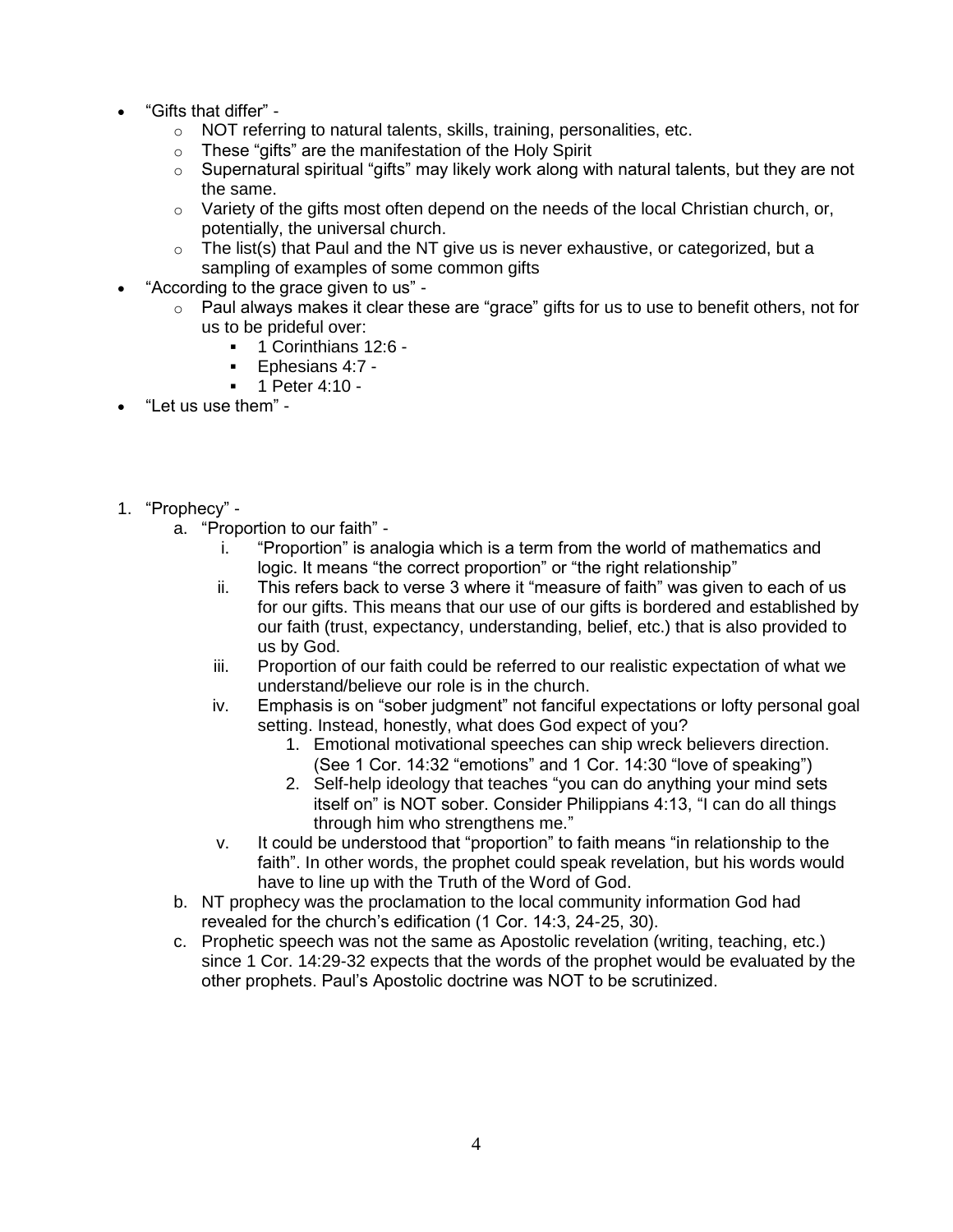- "Gifts that differ"
	- o NOT referring to natural talents, skills, training, personalities, etc.
	- o These "gifts" are the manifestation of the Holy Spirit
	- $\circ$  Supernatural spiritual "gifts" may likely work along with natural talents, but they are not the same.
	- $\circ$  Variety of the gifts most often depend on the needs of the local Christian church, or, potentially, the universal church.
	- $\circ$  The list(s) that Paul and the NT give us is never exhaustive, or categorized, but a sampling of examples of some common gifts
- "According to the grace given to us"
	- $\circ$  Paul always makes it clear these are "grace" gifts for us to use to benefit others, not for us to be prideful over:
		- 1 Corinthians 12:6 -
		- Ephesians 4:7 -
		- 1 Peter 4:10 -
- "Let us use them" -
- 1. "Prophecy"
	- a. "Proportion to our faith"
		- i. "Proportion" is analogia which is a term from the world of mathematics and logic. It means "the correct proportion" or "the right relationship"
		- ii. This refers back to verse 3 where it "measure of faith" was given to each of us for our gifts. This means that our use of our gifts is bordered and established by our faith (trust, expectancy, understanding, belief, etc.) that is also provided to us by God.
		- iii. Proportion of our faith could be referred to our realistic expectation of what we understand/believe our role is in the church.
		- iv. Emphasis is on "sober judgment" not fanciful expectations or lofty personal goal setting. Instead, honestly, what does God expect of you?
			- 1. Emotional motivational speeches can ship wreck believers direction. (See 1 Cor. 14:32 "emotions" and 1 Cor. 14:30 "love of speaking")
			- 2. Self-help ideology that teaches "you can do anything your mind sets itself on" is NOT sober. Consider Philippians 4:13, "I can do all things through him who strengthens me."
		- v. It could be understood that "proportion" to faith means "in relationship to the faith". In other words, the prophet could speak revelation, but his words would have to line up with the Truth of the Word of God.
	- b. NT prophecy was the proclamation to the local community information God had revealed for the church's edification (1 Cor. 14:3, 24-25, 30).
	- c. Prophetic speech was not the same as Apostolic revelation (writing, teaching, etc.) since 1 Cor. 14:29-32 expects that the words of the prophet would be evaluated by the other prophets. Paul's Apostolic doctrine was NOT to be scrutinized.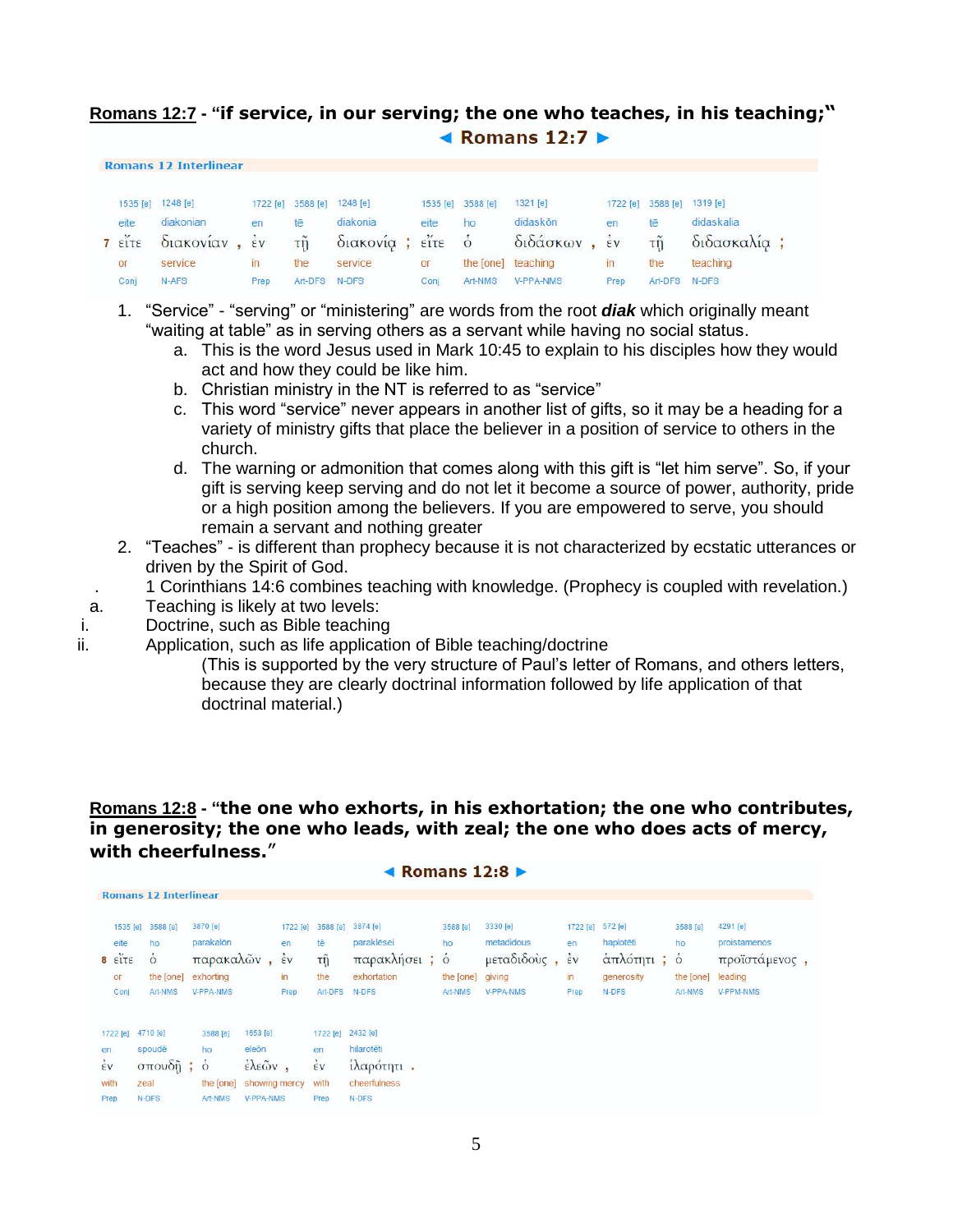### **Romans 12:7 - "if service, in our serving; the one who teaches, in his teaching;"** Komans 12:7  $▶$

|      | Romans 12 intermiear |              |               |                            |      |                   |                    |      |                            |                                                                      |
|------|----------------------|--------------|---------------|----------------------------|------|-------------------|--------------------|------|----------------------------|----------------------------------------------------------------------|
|      | 1535 [e] 1248 [e]    |              |               | 1722 [e] 3588 [e] 1248 [e] |      | 1535 [e] 3588 [e] | 1321 [e]           |      | 1722 [e] 3588 [e] 1319 [e] |                                                                      |
| eite | diakonian            | en           | tē            | diakonia                   | eite | ho                | didaskōn           | en   | tē                         | didaskalia                                                           |
|      |                      |              |               |                            |      |                   |                    |      |                            | 7 εΐτε διακονίαν, έν τῆ διακονία; εἴτε ὁ διδάσκων, ἐν τῆ διδασκαλία; |
| or   | service              | $\mathsf{I}$ | the           | service                    | or   |                   | the [one] teaching | in   | the                        | teaching                                                             |
| Conj | N-AFS                | Prep         | Art-DFS N-DFS |                            | Coni | Art-NMS           | <b>V-PPA-NMS</b>   | Prep | Art-DFS N-DFS              |                                                                      |

- 1. "Service" "serving" or "ministering" are words from the root *diak* which originally meant "waiting at table" as in serving others as a servant while having no social status.
	- a. This is the word Jesus used in Mark 10:45 to explain to his disciples how they would act and how they could be like him.
	- b. Christian ministry in the NT is referred to as "service"
	- c. This word "service" never appears in another list of gifts, so it may be a heading for a variety of ministry gifts that place the believer in a position of service to others in the church.
	- d. The warning or admonition that comes along with this gift is "let him serve". So, if your gift is serving keep serving and do not let it become a source of power, authority, pride or a high position among the believers. If you are empowered to serve, you should remain a servant and nothing greater
- 2. "Teaches" is different than prophecy because it is not characterized by ecstatic utterances or driven by the Spirit of God.
- . 1 Corinthians 14:6 combines teaching with knowledge. (Prophecy is coupled with revelation.)
- a. Teaching is likely at two levels:

 $P = \frac{1}{2}$ 

- i. Doctrine, such as Bible teaching
- ii. Application, such as life application of Bible teaching/doctrine
	- (This is supported by the very structure of Paul's letter of Romans, and others letters, because they are clearly doctrinal information followed by life application of that doctrinal material.)

**Romans 12:8 - "the one who exhorts, in his exhortation; the one who contributes, in generosity; the one who leads, with zeal; the one who does acts of mercy, with cheerfulness.**"

 $4$  Domand 12.0  $\uparrow$ 

|                      |                                  |                                                                   |                                                               |                                                                                         |                                                 |                                                           | <b>TRUINGING LATUM</b>                                          |                                               |                                                    |                                    |                                                                     |                                        |                                                                   |  |
|----------------------|----------------------------------|-------------------------------------------------------------------|---------------------------------------------------------------|-----------------------------------------------------------------------------------------|-------------------------------------------------|-----------------------------------------------------------|-----------------------------------------------------------------|-----------------------------------------------|----------------------------------------------------|------------------------------------|---------------------------------------------------------------------|----------------------------------------|-------------------------------------------------------------------|--|
|                      |                                  | <b>Romans 12 Interlinear</b>                                      |                                                               |                                                                                         |                                                 |                                                           |                                                                 |                                               |                                                    |                                    |                                                                     |                                        |                                                                   |  |
|                      | eite<br>$8 \t{if}$<br>or<br>Conj | 1535 [e] 3588 [e]<br>ho<br>$\dot{\circ}$<br>the [one]<br>Art-NMS  | 3870 [e]<br>parakalōn<br>παρακαλών,<br>exhorting<br>V-PPA-NMS |                                                                                         | 1722 [e]<br>en<br>$\frac{1}{2}v$<br>in.<br>Prep | 3588 [e]<br>tē<br>τỹ<br>the<br>Art-DFS                    | 3874 [e]<br>paraklēsei<br>παρακλήσει; ο<br>exhortation<br>N-DFS | 3588 [e]<br>ho<br>the [one] giving<br>Art-NMS | 3330 [e]<br>metadidous<br>μεταδιδούς,<br>V-PPA-NMS | en<br>$\frac{1}{2}v$<br>in<br>Prep | 1722 [e] 572 [e]<br>haplotēti<br>άπλότητι; ο<br>generosity<br>N-DFS | 3588 [e]<br>ho<br>the [one]<br>Art-NMS | 4291 [e]<br>proistamenos<br>προϊστάμενος,<br>leading<br>V-PPM-NMS |  |
| en<br>$\frac{2}{5}v$ | with<br>Prep                     | 1722 [e] 4710 [e]<br>spoudē<br>$\sigma$ πουδῆ; ὁ<br>zeal<br>N-DFS | 3588 [e]<br>ho<br>the [one]<br>Art-NMS                        | 1653 [e]<br>eleõn<br>$\epsilon \lambda \epsilon \tilde{\omega} v$ ,<br><b>V-PPA-NMS</b> | showing mercy                                   | 1722 [e] 2432 [e]<br>en<br>$\frac{1}{2}v$<br>with<br>Prep | hilarotēti<br>ίλαρότητι.<br>cheerfulness<br>N-DFS               |                                               |                                                    |                                    |                                                                     |                                        |                                                                   |  |